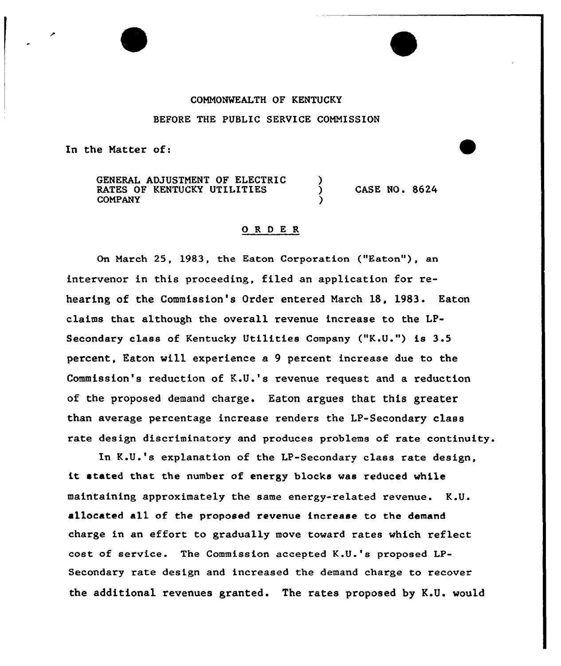## COMMONWEALTH OF KENTUCKY

## BEFORE THE PUBLIC SERVICE COMMISSION

In the Matter of:

GENERAL ADJUSTMENT OF ELECTRIC RATES OF KENTUCKY UTILITIES COMPANY

CASE NO. 8624

## 0 <sup>R</sup> <sup>D</sup> E R

On March 25, 1983, the Eaton Corporation ("Eaton"), an intervenor in this proceeding, filed an application for rehearing of the Commission's Order entered March 18, 1983. Eaton claims that although the overall revenue increase to the LP-Secondary class of Kentucky Utilities Company ("K.U.") is 3.5 percent, Eaton will experience a 9 percent increase due to the Commission's reduction of K.U.'s revenue request and a reduction of the proposed demand charge. Eaton argues that this greater than average percentage increase renders the LP-Secondary class rate design discriminatory and produces problems of rate continuity.

In K.U.'s explanation of the LP-Secondary class rate design, it stated that the number of energy blocks was reduced while maintaining approximately the same energy-related revenue. K.U. allocated all of the proposed revenue increase to the demand charge in an effort to gradually move toward rates which reflect cost of service. The Commission accepted K.U.'s proposed LP-Secondary rate design and increased the demand charge to recover the additional revenues granted. The rates proposed by K.U. would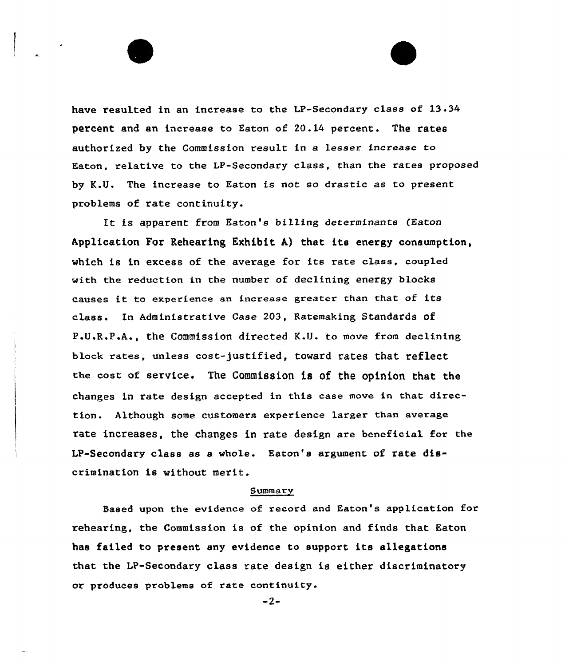have resulted in an increase to the LP-Secondary class of 13.34 percent and an increase to Eaton of 20.14 percent. The rates authorized by the Commission result in a lesser increase to Eaton, relative to the LP-Secondary class, than the rates proposed by K.U. The increase to Eaton is not so drastic as to present problems of rate continuity.

It is apparent from Eaton's billing determinants (Eaton Application For Rehearing Exhibit A) that its energy consumption, which is in excess of the average for its rate class, coupled with the reduction in the number of declining energy blocks causes it to experience an increase greater chan that of its class. Ln Administrative Case 203, Ratemaking Standards of P.U.R.P.A., the Commission directed K.U. to move from declining block rates, unless cost-justified, toward rates that reflect the cost of service. The Commission is of the opinion that the changes in rate design accepted in this case move in that direction. Although some customers experience larger than average rate increases, the changes in rate design are beneficial for the LP-Secondary class as a whole. Eaton's argument of rate discrimination is without merit.

## Summary

Based upon the evidence of record and Eaton's application for rehearing, the Commission is of the opinion and finds that Eaton has failed to present any evidence to support its allegations that the LP-Secondary class rate design is either discriminatory or produces problems of rate continuity.

 $-2-$